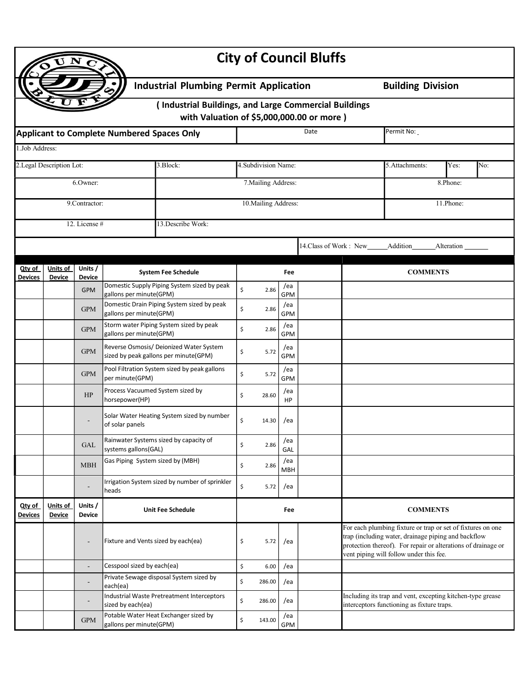|                                               |                           |                                                   |                                                    |                                                                                                     |                     |                      |                      | <b>City of Council Bluffs</b> |                 |                                                                                                                                                                                                                                |  |            |     |  |  |
|-----------------------------------------------|---------------------------|---------------------------------------------------|----------------------------------------------------|-----------------------------------------------------------------------------------------------------|---------------------|----------------------|----------------------|-------------------------------|-----------------|--------------------------------------------------------------------------------------------------------------------------------------------------------------------------------------------------------------------------------|--|------------|-----|--|--|
| <b>Industrial Plumbing Permit Application</b> |                           |                                                   |                                                    |                                                                                                     |                     |                      |                      |                               |                 | <b>Building Division</b>                                                                                                                                                                                                       |  |            |     |  |  |
|                                               |                           |                                                   |                                                    | (Industrial Buildings, and Large Commercial Buildings<br>with Valuation of \$5,000,000.00 or more ) |                     |                      |                      |                               |                 |                                                                                                                                                                                                                                |  |            |     |  |  |
|                                               |                           | <b>Applicant to Complete Numbered Spaces Only</b> |                                                    | Date                                                                                                |                     |                      |                      | Permit No:                    |                 |                                                                                                                                                                                                                                |  |            |     |  |  |
| 1.Job Address:                                |                           |                                                   |                                                    |                                                                                                     |                     |                      |                      |                               |                 |                                                                                                                                                                                                                                |  |            |     |  |  |
| 2.Legal Description Lot:<br>3.Block:          |                           |                                                   |                                                    |                                                                                                     |                     | 4. Subdivision Name: |                      |                               |                 | 5. Attachments:                                                                                                                                                                                                                |  | Yes:       | No: |  |  |
| 6.Owner:                                      |                           |                                                   |                                                    |                                                                                                     | 7. Mailing Address: |                      |                      |                               |                 | 8.Phone:                                                                                                                                                                                                                       |  |            |     |  |  |
|                                               | 9.Contractor:             |                                                   |                                                    |                                                                                                     |                     |                      | 10. Mailing Address: |                               |                 |                                                                                                                                                                                                                                |  | 11.Phone:  |     |  |  |
|                                               |                           | 12. License #                                     |                                                    | 13. Describe Work:                                                                                  |                     |                      |                      |                               |                 |                                                                                                                                                                                                                                |  |            |     |  |  |
|                                               |                           |                                                   |                                                    |                                                                                                     |                     |                      |                      | 14.Class of Work : New        |                 | Addition                                                                                                                                                                                                                       |  | Alteration |     |  |  |
| Qty of                                        | Units of<br>Units /       |                                                   |                                                    | <b>System Fee Schedule</b><br>Fee                                                                   |                     |                      |                      | <b>COMMENTS</b>               |                 |                                                                                                                                                                                                                                |  |            |     |  |  |
| Devices                                       | <b>Device</b>             | <b>Device</b><br><b>GPM</b>                       |                                                    | Domestic Supply Piping System sized by peak                                                         | \$                  | 2.86                 | /ea                  |                               |                 |                                                                                                                                                                                                                                |  |            |     |  |  |
|                                               |                           | <b>GPM</b>                                        | gallons per minute(GPM)                            | Domestic Drain Piping System sized by peak                                                          | \$                  | 2.86                 | <b>GPM</b><br>/ea    |                               |                 |                                                                                                                                                                                                                                |  |            |     |  |  |
|                                               |                           | <b>GPM</b>                                        | gallons per minute(GPM)                            | Storm water Piping System sized by peak                                                             | \$                  | 2.86                 | <b>GPM</b><br>/ea    |                               |                 |                                                                                                                                                                                                                                |  |            |     |  |  |
|                                               |                           | <b>GPM</b>                                        | gallons per minute(GPM)                            | Reverse Osmosis/ Deionized Water System                                                             | \$                  | 5.72                 | <b>GPM</b><br>/ea    |                               |                 |                                                                                                                                                                                                                                |  |            |     |  |  |
|                                               |                           |                                                   |                                                    | sized by peak gallons per minute(GPM)<br>Pool Filtration System sized by peak gallons               |                     |                      | <b>GPM</b><br>/ea    |                               |                 |                                                                                                                                                                                                                                |  |            |     |  |  |
|                                               |                           | <b>GPM</b>                                        | per minute(GPM)                                    |                                                                                                     | \$                  | 5.72                 | <b>GPM</b>           |                               |                 |                                                                                                                                                                                                                                |  |            |     |  |  |
|                                               |                           | HP                                                | Process Vacuumed System sized by<br>horsepower(HP) |                                                                                                     | \$                  | 28.60                | /ea<br>HP            |                               |                 |                                                                                                                                                                                                                                |  |            |     |  |  |
|                                               |                           |                                                   | of solar panels                                    | Solar Water Heating System sized by number                                                          | \$                  | 14.30                | /ea                  |                               |                 |                                                                                                                                                                                                                                |  |            |     |  |  |
|                                               |                           | <b>GAL</b>                                        | systems gallons(GAL)                               | Rainwater Systems sized by capacity of                                                              | \$                  | 2.86                 | /ea<br>GAL           |                               |                 |                                                                                                                                                                                                                                |  |            |     |  |  |
|                                               |                           | <b>MBH</b>                                        | Gas Piping System sized by (MBH)                   |                                                                                                     | \$                  | 2.86                 | /ea<br><b>MBH</b>    |                               |                 |                                                                                                                                                                                                                                |  |            |     |  |  |
|                                               |                           |                                                   | heads                                              | Irrigation System sized by number of sprinkler                                                      | \$                  | 5.72                 | /ea                  |                               |                 |                                                                                                                                                                                                                                |  |            |     |  |  |
| Qty of<br>Devices                             | Units of<br><b>Device</b> | Units /<br><b>Device</b>                          |                                                    | <b>Unit Fee Schedule</b>                                                                            |                     | Fee                  |                      |                               | <b>COMMENTS</b> |                                                                                                                                                                                                                                |  |            |     |  |  |
|                                               |                           |                                                   | Fixture and Vents sized by each(ea)                |                                                                                                     | \$                  | 5.72                 | /ea                  |                               |                 | For each plumbing fixture or trap or set of fixtures on one<br>trap (including water, drainage piping and backflow<br>protection thereof). For repair or alterations of drainage or<br>vent piping will follow under this fee. |  |            |     |  |  |
|                                               |                           | ÷                                                 | Cesspool sized by each(ea)                         |                                                                                                     | \$                  | 6.00                 | /ea                  |                               |                 |                                                                                                                                                                                                                                |  |            |     |  |  |
|                                               |                           | ٠                                                 | each(ea)                                           | Private Sewage disposal System sized by                                                             | \$                  | 286.00               | /ea                  |                               |                 |                                                                                                                                                                                                                                |  |            |     |  |  |
|                                               |                           |                                                   | sized by each(ea)                                  | Industrial Waste Pretreatment Interceptors                                                          | \$                  | 286.00               | /ea                  |                               |                 | Including its trap and vent, excepting kitchen-type grease<br>interceptors functioning as fixture traps.                                                                                                                       |  |            |     |  |  |
|                                               |                           | <b>GPM</b>                                        | gallons per minute(GPM)                            | Potable Water Heat Exchanger sized by                                                               | \$                  | 143.00               | /ea<br>GPM           |                               |                 |                                                                                                                                                                                                                                |  |            |     |  |  |